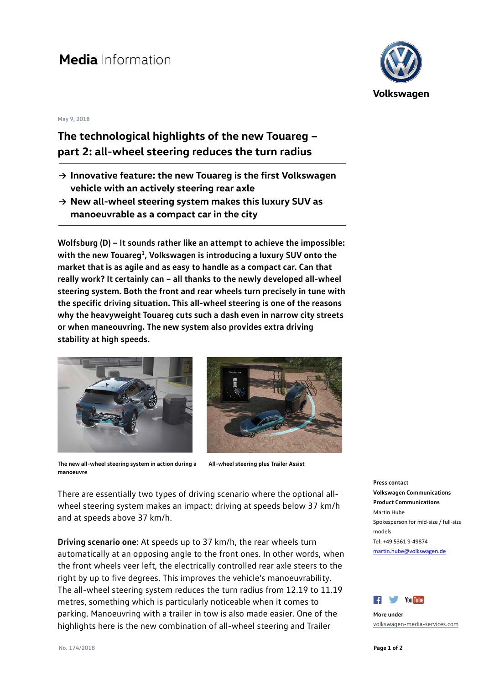## Media Information

## **May 9, 2018**

## **The technological highlights of the new Touareg – part 2: all-wheel steering reduces the turn radius**

- **→ Innovative feature: the new Touareg is the first Volkswagen vehicle with an actively steering rear axle**
- **→ New all-wheel steering system makes this luxury SUV as manoeuvrable as a compact car in the city**

**Wolfsburg (D) – It sounds rather like an attempt to achieve the impossible: with the new Touareg**<sup>1</sup>**, Volkswagen is introducing a luxury SUV onto the market that is as agile and as easy to handle as a compact car. Can that really work? It certainly can – all thanks to the newly developed all-wheel steering system. Both the front and rear wheels turn precisely in tune with the specific driving situation. This all-wheel steering is one of the reasons why the heavyweight Touareg cuts such a dash even in narrow city streets or when maneouvring. The new system also provides extra driving stability at high speeds.**





**The new all-wheel steering system in action during a manoeuvre All-wheel steering plus Trailer Assist**

There are essentially two types of driving scenario where the optional allwheel steering system makes an impact: driving at speeds below 37 km/h and at speeds above 37 km/h.

**Driving scenario one**: At speeds up to 37 km/h, the rear wheels turn automatically at an opposing angle to the front ones. In other words, when the front wheels veer left, the electrically controlled rear axle steers to the right by up to five degrees. This improves the vehicle's manoeuvrability. The all-wheel steering system reduces the turn radius from 12.19 to 11.19 metres, something which is particularly noticeable when it comes to parking. Manoeuvring with a trailer in tow is also made easier. One of the highlights here is the new combination of all-wheel steering and Trailer



**Press contact Volkswagen Communications Product Communications** Martin Hube Spokesperson for mid-size / full-size models Tel: +49 5361 9-49874 [martin.hube@volkswagen.de](mailto:martin.hube@volkswagen.de)



**More under** [volkswagen-media-services.com](https://www.volkswagen-media-services.com/)